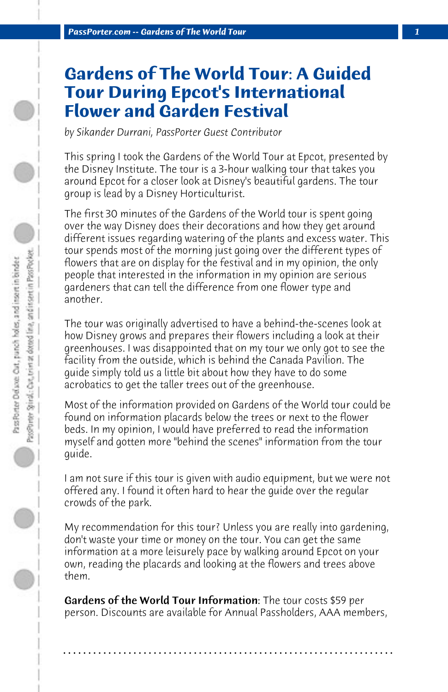## **Gardens of The World Tour: A Guided Tour During Epcot's International Flower and Garden Festival**

*by Sikander Durrani, PassPorter Guest Contributor*

This spring I took the Gardens of the World Tour at Epcot, presented by the Disney Institute. The tour is a 3-hour walking tour that takes you around Epcot for a closer look at Disney's beautiful gardens. The tour group is lead by a Disney Horticulturist.

The first 30 minutes of the Gardens of the World tour is spent going over the way Disney does their decorations and how they get around different issues regarding watering of the plants and excess water. This tour spends most of the morning just going over the different types of flowers that are on display for the festival and in my opinion, the only people that interested in the information in my opinion are serious gardeners that can tell the difference from one flower type and another.

The tour was originally advertised to have a behind-the-scenes look at how Disney grows and prepares their flowers including a look at their greenhouses. I was disappointed that on my tour we only got to see the facility from the outside, which is behind the Canada Pavilion. The guide simply told us a little bit about how they have to do some acrobatics to get the taller trees out of the greenhouse.

Most of the information provided on Gardens of the World tour could be found on information placards below the trees or next to the flower beds. In my opinion, I would have preferred to read the information myself and gotten more "behind the scenes" information from the tour guide.

I am not sure if this tour is given with audio equipment, but we were not offered any. I found it often hard to hear the guide over the regular crowds of the park.

My recommendation for this tour? Unless you are really into gardening, don't waste your time or money on the tour. You can get the same information at a more leisurely pace by walking around Epcot on your own, reading the placards and looking at the flowers and trees above them.

Gardens of the World Tour Information: The tour costs \$59 per person. Discounts are available for Annual Passholders, AAA members,

**. . . . . . . . . . . . . . . . . . . . . . . . . . . . . . . . . . . . . . . . . . . . . . . . . . . . . . . . . . . . . . . . . .**